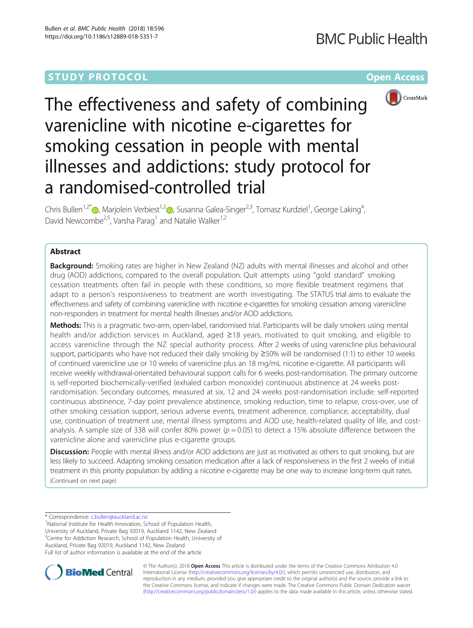

The effectiveness and safety of combining varenicline with nicotine e-cigarettes for smoking cessation in people with mental illnesses and addictions: study protocol for a randomised-controlled trial

Chris Bullen<sup>1,2[\\*](http://orcid.org/0000-0001-6807-2930)</sup>®, Marjolein Verbiest<sup>1,[2](http://orcid.org/0000-0003-3731-5295)</sup>®, Susanna Galea-Singer<sup>2,3</sup>, Tomasz Kurdziel<sup>1</sup>, George Laking<sup>4</sup> , David Newcombe<sup>2,5</sup>, Varsha Parag<sup>1</sup> and Natalie Walker<sup>1,2</sup>

# Abstract

**Background:** Smoking rates are higher in New Zealand (NZ) adults with mental illnesses and alcohol and other drug (AOD) addictions, compared to the overall population. Quit attempts using "gold standard" smoking cessation treatments often fail in people with these conditions, so more flexible treatment regimens that adapt to a person's responsiveness to treatment are worth investigating. The STATUS trial aims to evaluate the effectiveness and safety of combining varenicline with nicotine e-cigarettes for smoking cessation among varenicline non-responders in treatment for mental health illnesses and/or AOD addictions.

Methods: This is a pragmatic two-arm, open-label, randomised trial. Participants will be daily smokers using mental health and/or addiction services in Auckland, aged ≥18 years, motivated to quit smoking, and eligible to access varenicline through the NZ special authority process. After 2 weeks of using varenicline plus behavioural support, participants who have not reduced their daily smoking by ≥50% will be randomised (1:1) to either 10 weeks of continued varenicline use or 10 weeks of varenicline plus an 18 mg/mL nicotine e-cigarette. All participants will receive weekly withdrawal-orientated behavioural support calls for 6 weeks post-randomisation. The primary outcome is self-reported biochemically-verified (exhaled carbon monoxide) continuous abstinence at 24 weeks postrandomisation. Secondary outcomes, measured at six, 12 and 24 weeks post-randomisation include: self-reported continuous abstinence, 7-day point prevalence abstinence, smoking reduction, time to relapse, cross-over, use of other smoking cessation support, serious adverse events, treatment adherence, compliance, acceptability, dual use, continuation of treatment use, mental illness symptoms and AOD use, health-related quality of life, and costanalysis. A sample size of 338 will confer 80% power ( $p = 0.05$ ) to detect a 15% absolute difference between the varenicline alone and varenicline plus e-cigarette groups.

Discussion: People with mental illness and/or AOD addictions are just as motivated as others to quit smoking, but are less likely to succeed. Adapting smoking cessation medication after a lack of responsiveness in the first 2 weeks of initial treatment in this priority population by adding a nicotine e-cigarette may be one way to increase long-term quit rates. (Continued on next page)

\* Correspondence: [c.bullen@auckland.ac.nz](mailto:c.bullen@auckland.ac.nz) <sup>1</sup>

<sup>1</sup>National Institute for Health Innovation, School of Population Health, University of Auckland, Private Bag 92019, Auckland 1142, New Zealand <sup>2</sup> Centre for Addiction Research, School of Population Health, University of Auckland, Private Bag 92019, Auckland 1142, New Zealand Full list of author information is available at the end of the article



© The Author(s). 2018 Open Access This article is distributed under the terms of the Creative Commons Attribution 4.0 International License [\(http://creativecommons.org/licenses/by/4.0/](http://creativecommons.org/licenses/by/4.0/)), which permits unrestricted use, distribution, and reproduction in any medium, provided you give appropriate credit to the original author(s) and the source, provide a link to the Creative Commons license, and indicate if changes were made. The Creative Commons Public Domain Dedication waiver [\(http://creativecommons.org/publicdomain/zero/1.0/](http://creativecommons.org/publicdomain/zero/1.0/)) applies to the data made available in this article, unless otherwise stated.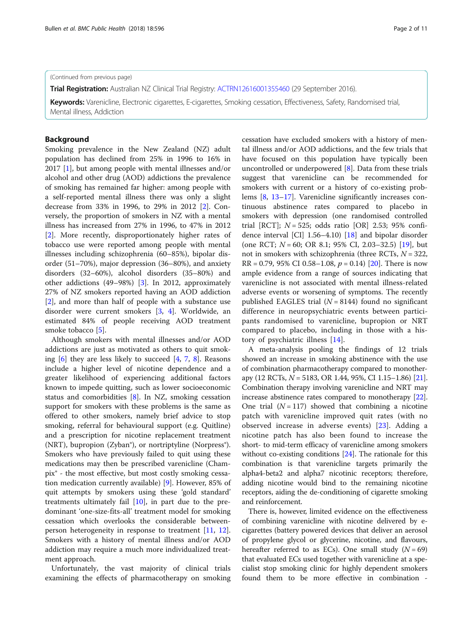### (Continued from previous page)

**Trial Registration:** Australian NZ Clinical Trial Registry: [ACTRN12616001355460](https://www.anzctr.org.au/Trial/Registration/TrialReview.aspx?id=371532) (29 September 2016).

Keywords: Varenicline, Electronic cigarettes, E-cigarettes, Smoking cessation, Effectiveness, Safety, Randomised trial, Mental illness, Addiction

## Background

Smoking prevalence in the New Zealand (NZ) adult population has declined from 25% in 1996 to 16% in 2017 [[1\]](#page-9-0), but among people with mental illnesses and/or alcohol and other drug (AOD) addictions the prevalence of smoking has remained far higher: among people with a self-reported mental illness there was only a slight decrease from 33% in 1996, to 29% in 2012 [[2\]](#page-9-0). Conversely, the proportion of smokers in NZ with a mental illness has increased from 27% in 1996, to 47% in 2012 [[2\]](#page-9-0). More recently, disproportionately higher rates of tobacco use were reported among people with mental illnesses including schizophrenia (60–85%), bipolar disorder (51–70%), major depression (36–80%), and anxiety disorders (32–60%), alcohol disorders (35–80%) and other addictions (49–98%) [[3\]](#page-9-0). In 2012, approximately 27% of NZ smokers reported having an AOD addiction [[2\]](#page-9-0), and more than half of people with a substance use disorder were current smokers [\[3](#page-9-0), [4\]](#page-9-0). Worldwide, an estimated 84% of people receiving AOD treatment smoke tobacco [[5\]](#page-9-0).

Although smokers with mental illnesses and/or AOD addictions are just as motivated as others to quit smoking [\[6](#page-9-0)] they are less likely to succeed [\[4](#page-9-0), [7](#page-9-0), [8](#page-9-0)]. Reasons include a higher level of nicotine dependence and a greater likelihood of experiencing additional factors known to impede quitting, such as lower socioeconomic status and comorbidities [\[8\]](#page-9-0). In NZ, smoking cessation support for smokers with these problems is the same as offered to other smokers, namely brief advice to stop smoking, referral for behavioural support (e.g. Quitline) and a prescription for nicotine replacement treatment (NRT), bupropion (Zyban®), or nortriptyline (Norpress®). Smokers who have previously failed to quit using these medications may then be prescribed varenicline (Champix® - the most effective, but most costly smoking cessation medication currently available) [[9](#page-9-0)]. However, 85% of quit attempts by smokers using these 'gold standard' treatments ultimately fail [[10](#page-9-0)], in part due to the predominant 'one-size-fits-all' treatment model for smoking cessation which overlooks the considerable betweenperson heterogeneity in response to treatment [\[11](#page-9-0), [12](#page-9-0)]. Smokers with a history of mental illness and/or AOD addiction may require a much more individualized treatment approach.

Unfortunately, the vast majority of clinical trials examining the effects of pharmacotherapy on smoking

cessation have excluded smokers with a history of mental illness and/or AOD addictions, and the few trials that have focused on this population have typically been uncontrolled or underpowered [[8\]](#page-9-0). Data from these trials suggest that varenicline can be recommended for smokers with current or a history of co-existing problems [[8,](#page-9-0) [13](#page-9-0)–[17](#page-9-0)]. Varenicline significantly increases continuous abstinence rates compared to placebo in smokers with depression (one randomised controlled trial [RCT];  $N = 525$ ; odds ratio [OR] 2.53; 95% confidence interval [CI] 1.56–4.10) [[18\]](#page-9-0) and bipolar disorder (one RCT;  $N = 60$ ; OR 8.1; 95% CI, 2.03–32.5) [\[19\]](#page-9-0), but not in smokers with schizophrenia (three RCTs,  $N = 322$ ,  $RR = 0.79$ , 95% CI 0.58-1.08,  $p = 0.14$ ) [[20](#page-9-0)]. There is now ample evidence from a range of sources indicating that varenicline is not associated with mental illness-related adverse events or worsening of symptoms. The recently published EAGLES trial  $(N = 8144)$  found no significant difference in neuropsychiatric events between participants randomised to varenicline, bupropion or NRT compared to placebo, including in those with a history of psychiatric illness [[14](#page-9-0)].

A meta-analysis pooling the findings of 12 trials showed an increase in smoking abstinence with the use of combination pharmacotherapy compared to monotherapy (12 RCTs,  $N = 5183$ , OR 1.44, 95%, CI 1.15–1.86) [[21](#page-9-0)]. Combination therapy involving varenicline and NRT may increase abstinence rates compared to monotherapy [[22](#page-9-0)]. One trial  $(N = 117)$  showed that combining a nicotine patch with varenicline improved quit rates (with no observed increase in adverse events) [[23\]](#page-9-0). Adding a nicotine patch has also been found to increase the short- to mid-term efficacy of varenicline among smokers without co-existing conditions [[24\]](#page-9-0). The rationale for this combination is that varenicline targets primarily the alpha4-beta2 and alpha7 nicotinic receptors; therefore, adding nicotine would bind to the remaining nicotine receptors, aiding the de-conditioning of cigarette smoking and reinforcement.

There is, however, limited evidence on the effectiveness of combining varenicline with nicotine delivered by ecigarettes (battery powered devices that deliver an aerosol of propylene glycol or glycerine, nicotine, and flavours, hereafter referred to as ECs). One small study  $(N = 69)$ that evaluated ECs used together with varenicline at a specialist stop smoking clinic for highly dependent smokers found them to be more effective in combination -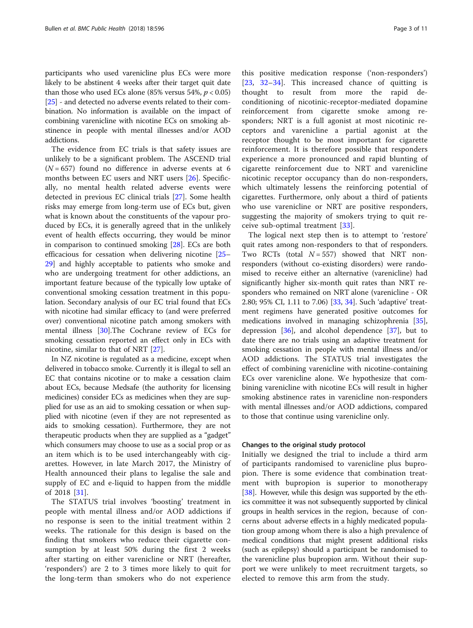participants who used varenicline plus ECs were more likely to be abstinent 4 weeks after their target quit date than those who used ECs alone (85% versus 54%,  $p < 0.05$ ) [[25](#page-9-0)] - and detected no adverse events related to their combination. No information is available on the impact of combining varenicline with nicotine ECs on smoking abstinence in people with mental illnesses and/or AOD addictions.

The evidence from EC trials is that safety issues are unlikely to be a significant problem. The ASCEND trial  $(N = 657)$  found no difference in adverse events at 6 months between EC users and NRT users [\[26\]](#page-9-0). Specifically, no mental health related adverse events were detected in previous EC clinical trials [\[27](#page-9-0)]. Some health risks may emerge from long-term use of ECs but, given what is known about the constituents of the vapour produced by ECs, it is generally agreed that in the unlikely event of health effects occurring, they would be minor in comparison to continued smoking [[28](#page-9-0)]. ECs are both efficacious for cessation when delivering nicotine [[25](#page-9-0)– [29\]](#page-9-0) and highly acceptable to patients who smoke and who are undergoing treatment for other addictions, an important feature because of the typically low uptake of conventional smoking cessation treatment in this population. Secondary analysis of our EC trial found that ECs with nicotine had similar efficacy to (and were preferred over) conventional nicotine patch among smokers with mental illness [[30\]](#page-9-0).The Cochrane review of ECs for smoking cessation reported an effect only in ECs with nicotine, similar to that of NRT [[27](#page-9-0)].

In NZ nicotine is regulated as a medicine, except when delivered in tobacco smoke. Currently it is illegal to sell an EC that contains nicotine or to make a cessation claim about ECs, because Medsafe (the authority for licensing medicines) consider ECs as medicines when they are supplied for use as an aid to smoking cessation or when supplied with nicotine (even if they are not represented as aids to smoking cessation). Furthermore, they are not therapeutic products when they are supplied as a "gadget" which consumers may choose to use as a social prop or as an item which is to be used interchangeably with cigarettes. However, in late March 2017, the Ministry of Health announced their plans to legalise the sale and supply of EC and e-liquid to happen from the middle of 2018 [[31\]](#page-10-0).

The STATUS trial involves 'boosting' treatment in people with mental illness and/or AOD addictions if no response is seen to the initial treatment within 2 weeks. The rationale for this design is based on the finding that smokers who reduce their cigarette consumption by at least 50% during the first 2 weeks after starting on either varenicline or NRT (hereafter, 'responders') are 2 to 3 times more likely to quit for the long-term than smokers who do not experience

this positive medication response ('non-responders') [[23,](#page-9-0) [32](#page-10-0)–[34\]](#page-10-0). This increased chance of quitting is thought to result from more the rapid deconditioning of nicotinic-receptor-mediated dopamine reinforcement from cigarette smoke among responders; NRT is a full agonist at most nicotinic receptors and varenicline a partial agonist at the receptor thought to be most important for cigarette reinforcement. It is therefore possible that responders experience a more pronounced and rapid blunting of cigarette reinforcement due to NRT and varenicline nicotinic receptor occupancy than do non-responders, which ultimately lessens the reinforcing potential of cigarettes. Furthermore, only about a third of patients who use varenicline or NRT are positive responders, suggesting the majority of smokers trying to quit receive sub-optimal treatment [\[33](#page-10-0)].

The logical next step then is to attempt to 'restore' quit rates among non-responders to that of responders. Two RCTs (total  $N = 557$ ) showed that NRT nonresponders (without co-existing disorders) were randomised to receive either an alternative (varenicline) had significantly higher six-month quit rates than NRT responders who remained on NRT alone (varenicline - OR 2.80; 95% CI, 1.11 to 7.06) [\[33](#page-10-0), [34](#page-10-0)]. Such 'adaptive' treatment regimens have generated positive outcomes for medications involved in managing schizophrenia [\[35](#page-10-0)], depression [[36\]](#page-10-0), and alcohol dependence [\[37](#page-10-0)], but to date there are no trials using an adaptive treatment for smoking cessation in people with mental illness and/or AOD addictions. The STATUS trial investigates the effect of combining varenicline with nicotine-containing ECs over varenicline alone. We hypothesize that combining varenicline with nicotine ECs will result in higher smoking abstinence rates in varenicline non-responders with mental illnesses and/or AOD addictions, compared to those that continue using varenicline only.

### Changes to the original study protocol

Initially we designed the trial to include a third arm of participants randomised to varenicline plus bupropion. There is some evidence that combination treatment with bupropion is superior to monotherapy [[38\]](#page-10-0). However, while this design was supported by the ethics committee it was not subsequently supported by clinical groups in health services in the region, because of concerns about adverse effects in a highly medicated population group among whom there is also a high prevalence of medical conditions that might present additional risks (such as epilepsy) should a participant be randomised to the varenicline plus bupropion arm. Without their support we were unlikely to meet recruitment targets, so elected to remove this arm from the study.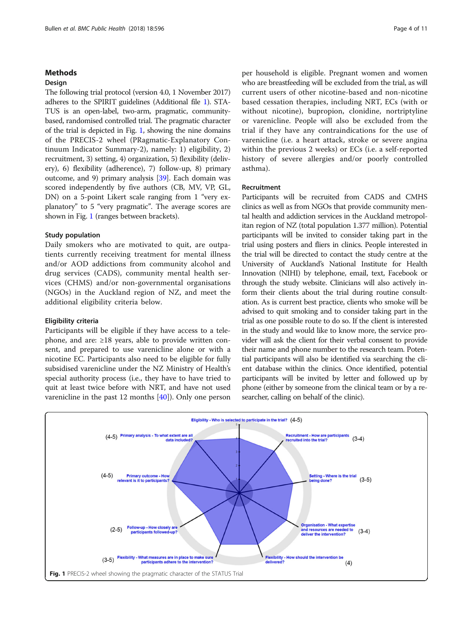## Methods

## Design

The following trial protocol (version 4.0, 1 November 2017) adheres to the SPIRIT guidelines (Additional file [1\)](#page-8-0). STA-TUS is an open-label, two-arm, pragmatic, communitybased, randomised controlled trial. The pragmatic character of the trial is depicted in Fig. 1, showing the nine domains of the PRECIS-2 wheel (PRagmatic-Explanatory Continuum Indicator Summary-2), namely: 1) eligibility, 2) recruitment, 3) setting, 4) organization, 5) flexibility (delivery), 6) flexibility (adherence), 7) follow-up, 8) primary outcome, and 9) primary analysis [\[39\]](#page-10-0). Each domain was scored independently by five authors (CB, MV, VP, GL, DN) on a 5-point Likert scale ranging from 1 "very explanatory" to 5 "very pragmatic". The average scores are shown in Fig. 1 (ranges between brackets).

## Study population

Daily smokers who are motivated to quit, are outpatients currently receiving treatment for mental illness and/or AOD addictions from community alcohol and drug services (CADS), community mental health services (CHMS) and/or non-governmental organisations (NGOs) in the Auckland region of NZ, and meet the additional eligibility criteria below.

### Eligibility criteria

Participants will be eligible if they have access to a telephone, and are:  $\geq 18$  years, able to provide written consent, and prepared to use varenicline alone or with a nicotine EC. Participants also need to be eligible for fully subsidised varenicline under the NZ Ministry of Health's special authority process (i.e., they have to have tried to quit at least twice before with NRT, and have not used varenicline in the past 12 months [[40](#page-10-0)]). Only one person per household is eligible. Pregnant women and women who are breastfeeding will be excluded from the trial, as will current users of other nicotine-based and non-nicotine based cessation therapies, including NRT, ECs (with or without nicotine), bupropion, clonidine, nortriptyline or varenicline. People will also be excluded from the trial if they have any contraindications for the use of varenicline (i.e. a heart attack, stroke or severe angina within the previous 2 weeks) or ECs (i.e. a self-reported history of severe allergies and/or poorly controlled asthma).

## Recruitment

Participants will be recruited from CADS and CMHS clinics as well as from NGOs that provide community mental health and addiction services in the Auckland metropolitan region of NZ (total population 1.377 million). Potential participants will be invited to consider taking part in the trial using posters and fliers in clinics. People interested in the trial will be directed to contact the study centre at the University of Auckland's National Institute for Health Innovation (NIHI) by telephone, email, text, Facebook or through the study website. Clinicians will also actively inform their clients about the trial during routine consultation. As is current best practice, clients who smoke will be advised to quit smoking and to consider taking part in the trial as one possible route to do so. If the client is interested in the study and would like to know more, the service provider will ask the client for their verbal consent to provide their name and phone number to the research team. Potential participants will also be identified via searching the client database within the clinics. Once identified, potential participants will be invited by letter and followed up by phone (either by someone from the clinical team or by a researcher, calling on behalf of the clinic).

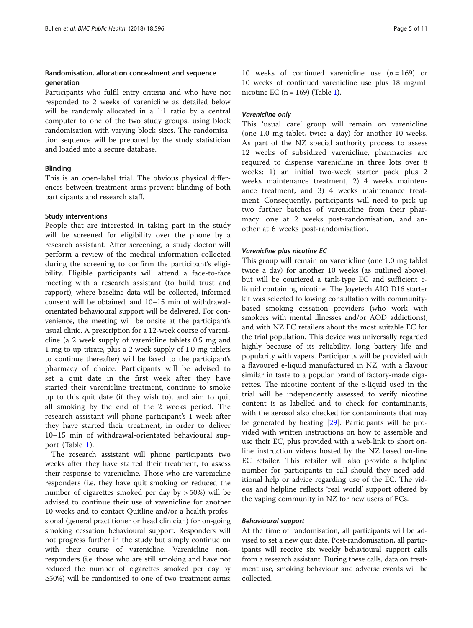## Randomisation, allocation concealment and sequence generation

Participants who fulfil entry criteria and who have not responded to 2 weeks of varenicline as detailed below will be randomly allocated in a 1:1 ratio by a central computer to one of the two study groups, using block randomisation with varying block sizes. The randomisation sequence will be prepared by the study statistician and loaded into a secure database.

## Blinding

This is an open-label trial. The obvious physical differences between treatment arms prevent blinding of both participants and research staff.

#### Study interventions

People that are interested in taking part in the study will be screened for eligibility over the phone by a research assistant. After screening, a study doctor will perform a review of the medical information collected during the screening to confirm the participant's eligibility. Eligible participants will attend a face-to-face meeting with a research assistant (to build trust and rapport), where baseline data will be collected, informed consent will be obtained, and 10–15 min of withdrawalorientated behavioural support will be delivered. For convenience, the meeting will be onsite at the participant's usual clinic. A prescription for a 12-week course of varenicline (a 2 week supply of varenicline tablets 0.5 mg and 1 mg to up-titrate, plus a 2 week supply of 1.0 mg tablets to continue thereafter) will be faxed to the participant's pharmacy of choice. Participants will be advised to set a quit date in the first week after they have started their varenicline treatment, continue to smoke up to this quit date (if they wish to), and aim to quit all smoking by the end of the 2 weeks period. The research assistant will phone participant's 1 week after they have started their treatment, in order to deliver 10–15 min of withdrawal-orientated behavioural support (Table [1\)](#page-5-0).

The research assistant will phone participants two weeks after they have started their treatment, to assess their response to varenicline. Those who are varenicline responders (i.e. they have quit smoking or reduced the number of cigarettes smoked per day by > 50%) will be advised to continue their use of varenicline for another 10 weeks and to contact Quitline and/or a health professional (general practitioner or head clinician) for on-going smoking cessation behavioural support. Responders will not progress further in the study but simply continue on with their course of varenicline. Varenicline nonresponders (i.e. those who are still smoking and have not reduced the number of cigarettes smoked per day by ≥50%) will be randomised to one of two treatment arms:

10 weeks of continued varenicline use  $(n = 169)$  or 10 weeks of continued varenicline use plus 18 mg/mL nicotine EC (n = 169) (Table [1\)](#page-5-0).

### Varenicline only

This 'usual care' group will remain on varenicline (one 1.0 mg tablet, twice a day) for another 10 weeks. As part of the NZ special authority process to assess 12 weeks of subsidized varenicline, pharmacies are required to dispense varenicline in three lots over 8 weeks: 1) an initial two-week starter pack plus 2 weeks maintenance treatment, 2) 4 weeks maintenance treatment, and 3) 4 weeks maintenance treatment. Consequently, participants will need to pick up two further batches of varenicline from their pharmacy: one at 2 weeks post-randomisation, and another at 6 weeks post-randomisation.

## Varenicline plus nicotine EC

This group will remain on varenicline (one 1.0 mg tablet twice a day) for another 10 weeks (as outlined above), but will be couriered a tank-type EC and sufficient eliquid containing nicotine. The Joyetech AIO D16 starter kit was selected following consultation with communitybased smoking cessation providers (who work with smokers with mental illnesses and/or AOD addictions), and with NZ EC retailers about the most suitable EC for the trial population. This device was universally regarded highly because of its reliability, long battery life and popularity with vapers. Participants will be provided with a flavoured e-liquid manufactured in NZ, with a flavour similar in taste to a popular brand of factory-made cigarettes. The nicotine content of the e-liquid used in the trial will be independently assessed to verify nicotine content is as labelled and to check for contaminants, with the aerosol also checked for contaminants that may be generated by heating [\[29\]](#page-9-0). Participants will be provided with written instructions on how to assemble and use their EC, plus provided with a web-link to short online instruction videos hosted by the NZ based on-line EC retailer. This retailer will also provide a helpline number for participants to call should they need additional help or advice regarding use of the EC. The videos and helpline reflects 'real world' support offered by the vaping community in NZ for new users of ECs.

### Behavioural support

At the time of randomisation, all participants will be advised to set a new quit date. Post-randomisation, all participants will receive six weekly behavioural support calls from a research assistant. During these calls, data on treatment use, smoking behaviour and adverse events will be collected.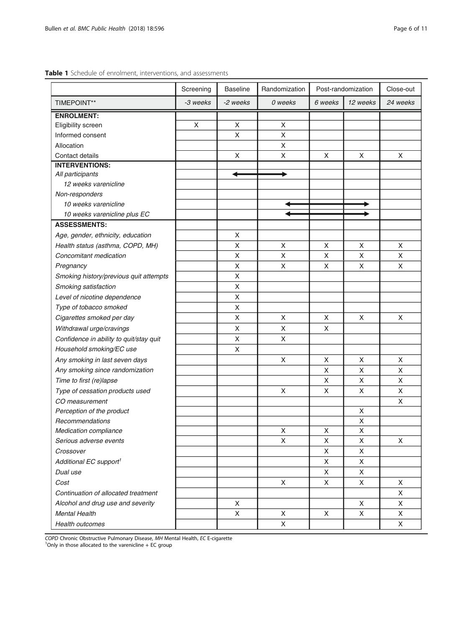<span id="page-5-0"></span>

|                                         | Screening | <b>Baseline</b> | Randomization | Post-randomization |          | Close-out |
|-----------------------------------------|-----------|-----------------|---------------|--------------------|----------|-----------|
| <b>TIMEPOINT**</b>                      | -3 weeks  | -2 weeks        | 0 weeks       | 6 weeks            | 12 weeks | 24 weeks  |
| <b>ENROLMENT:</b>                       |           |                 |               |                    |          |           |
| Eligibility screen                      | X         | X               | Χ             |                    |          |           |
| Informed consent                        |           | $\mathsf X$     | X             |                    |          |           |
| Allocation                              |           |                 | Χ             |                    |          |           |
| Contact details                         |           | X               | X             | X                  | X        | X         |
| <b>INTERVENTIONS:</b>                   |           |                 |               |                    |          |           |
| All participants                        |           |                 |               |                    |          |           |
| 12 weeks varenicline                    |           |                 |               |                    |          |           |
| Non-responders                          |           |                 |               |                    |          |           |
| 10 weeks varenicline                    |           |                 |               |                    |          |           |
| 10 weeks varenicline plus EC            |           |                 |               |                    |          |           |
| <b>ASSESSMENTS:</b>                     |           |                 |               |                    |          |           |
| Age, gender, ethnicity, education       |           | X               |               |                    |          |           |
| Health status (asthma, COPD, MH)        |           | X               | X             | X                  | X        | X         |
| Concomitant medication                  |           | X               | Χ             | X                  | X        | X         |
| Pregnancy                               |           | $\sf X$         | X             | X                  | X        | X         |
| Smoking history/previous quit attempts  |           | $\sf X$         |               |                    |          |           |
| Smoking satisfaction                    |           | X               |               |                    |          |           |
| Level of nicotine dependence            |           | X               |               |                    |          |           |
| Type of tobacco smoked                  |           | $\mathsf X$     |               |                    |          |           |
| Cigarettes smoked per day               |           | X               | X             | X                  | X        | X         |
| Withdrawal urge/cravings                |           | $\sf X$         | X             | X                  |          |           |
| Confidence in ability to quit/stay quit |           | $\mathsf X$     | X             |                    |          |           |
| Household smoking/EC use                |           | X               |               |                    |          |           |
| Any smoking in last seven days          |           |                 | X             | X                  | X        | X         |
| Any smoking since randomization         |           |                 |               | X                  | X        | X         |
| Time to first (re)lapse                 |           |                 |               | $\mathsf{X}$       | X        | X         |
| Type of cessation products used         |           |                 | Χ             | X                  | X        | X         |
| CO measurement                          |           |                 |               |                    |          | X         |
| Perception of the product               |           |                 |               |                    | X        |           |
| Recommendations                         |           |                 |               |                    | Χ        |           |
| Medication compliance                   |           |                 | X             | X                  | X        |           |
| Serious adverse events                  |           |                 | X             | X                  | X        | X         |
| Crossover                               |           |                 |               | X                  | X        |           |
| Additional EC support <sup>1</sup>      |           |                 |               | $\mathsf X$        | X        |           |
| Dual use                                |           |                 |               | X                  | X        |           |
| Cost                                    |           |                 | X             | X                  | X        | X         |
| Continuation of allocated treatment     |           |                 |               |                    |          | X         |
| Alcohol and drug use and severity       |           | X               |               |                    | X        | X         |
| <b>Mental Health</b>                    |           | X               | X             | X                  | X        | X         |
| <b>Health outcomes</b>                  |           |                 | X             |                    |          | X         |
|                                         |           |                 |               |                    |          |           |

COPD Chronic Obstructive Pulmonary Disease, MH Mental Health, EC E-cigarette <sup>1</sup>

<sup>1</sup>Only in those allocated to the varenicline  $+$  EC group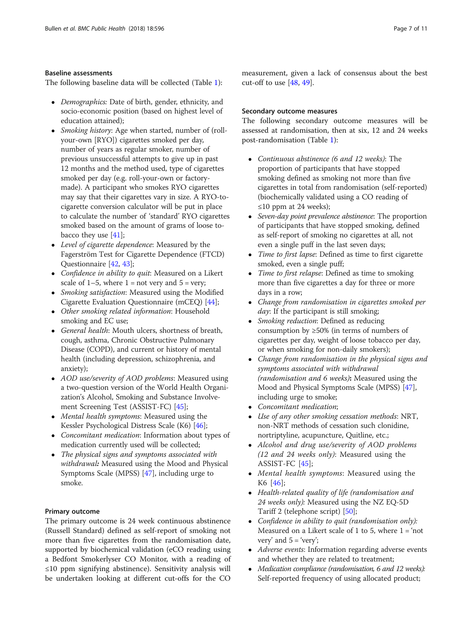## Baseline assessments

The following baseline data will be collected (Table [1\)](#page-5-0):

- Demographics: Date of birth, gender, ethnicity, and socio-economic position (based on highest level of education attained);
- Smoking history: Age when started, number of (rollyour-own [RYO]) cigarettes smoked per day, number of years as regular smoker, number of previous unsuccessful attempts to give up in past 12 months and the method used, type of cigarettes smoked per day (e.g. roll-your-own or factorymade). A participant who smokes RYO cigarettes may say that their cigarettes vary in size. A RYO-tocigarette conversion calculator will be put in place to calculate the number of 'standard' RYO cigarettes smoked based on the amount of grams of loose tobacco they use [\[41\]](#page-10-0);
- Level of cigarette dependence: Measured by the Fagerström Test for Cigarette Dependence (FTCD) Questionnaire [[42](#page-10-0), [43\]](#page-10-0);
- Confidence in ability to quit: Measured on a Likert scale of  $1-5$ , where  $1 = not$  very and  $5 = very$ ;
- Smoking satisfaction: Measured using the Modified Cigarette Evaluation Questionnaire (mCEQ) [\[44\]](#page-10-0);
- Other smoking related information: Household smoking and EC use;
- General health: Mouth ulcers, shortness of breath, cough, asthma, Chronic Obstructive Pulmonary Disease (COPD), and current or history of mental health (including depression, schizophrenia, and anxiety);
- AOD use/severity of AOD problems: Measured using a two-question version of the World Health Organization's Alcohol, Smoking and Substance Involvement Screening Test (ASSIST-FC) [\[45\]](#page-10-0);
- Mental health symptoms: Measured using the Kessler Psychological Distress Scale (K6) [[46](#page-10-0)];
- *Concomitant medication*: Information about types of medication currently used will be collected;
- The physical signs and symptoms associated with withdrawal: Measured using the Mood and Physical Symptoms Scale (MPSS) [\[47\]](#page-10-0), including urge to smoke.

## Primary outcome

The primary outcome is 24 week continuous abstinence (Russell Standard) defined as self-report of smoking not more than five cigarettes from the randomisation date, supported by biochemical validation (eCO reading using a Bedfont Smokerlyser CO Monitor, with a reading of ≤10 ppm signifying abstinence). Sensitivity analysis will be undertaken looking at different cut-offs for the CO

measurement, given a lack of consensus about the best cut-off to use [[48](#page-10-0), [49](#page-10-0)].

## Secondary outcome measures

The following secondary outcome measures will be assessed at randomisation, then at six, 12 and 24 weeks post-randomisation (Table [1\)](#page-5-0):

- Continuous abstinence (6 and 12 weeks): The proportion of participants that have stopped smoking defined as smoking not more than five cigarettes in total from randomisation (self-reported) (biochemically validated using a CO reading of ≤10 ppm at 24 weeks);
- Seven-day point prevalence abstinence: The proportion of participants that have stopped smoking, defined as self-report of smoking no cigarettes at all, not even a single puff in the last seven days;
- Time to first lapse: Defined as time to first cigarette smoked, even a single puff;
- Time to first relapse: Defined as time to smoking more than five cigarettes a day for three or more days in a row;
- Change from randomisation in cigarettes smoked per day: If the participant is still smoking;
- Smoking reduction: Defined as reducing consumption by ≥50% (in terms of numbers of cigarettes per day, weight of loose tobacco per day, or when smoking for non-daily smokers);
- Change from randomisation in the physical signs and symptoms associated with withdrawal (randomisation and 6 weeks): Measured using the Mood and Physical Symptoms Scale (MPSS) [\[47\]](#page-10-0), including urge to smoke;
- Concomitant medication;
- Use of any other smoking cessation methods: NRT, non-NRT methods of cessation such clonidine, nortriptyline, acupuncture, Quitline, etc.;
- Alcohol and drug use/severity of AOD problems (12 and 24 weeks only): Measured using the ASSIST-FC [\[45\]](#page-10-0);
- Mental health symptoms: Measured using the K6 [[46\]](#page-10-0);
- Health-related quality of life (randomisation and 24 weeks only): Measured using the NZ EQ-5D Tariff 2 (telephone script) [[50\]](#page-10-0);
- Confidence in ability to quit (randomisation only): Measured on a Likert scale of 1 to 5, where  $1 = 'not$ very' and  $5 = 'very';$
- Adverse events: Information regarding adverse events and whether they are related to treatment;
- Medication compliance (randomisation, 6 and 12 weeks): Self-reported frequency of using allocated product;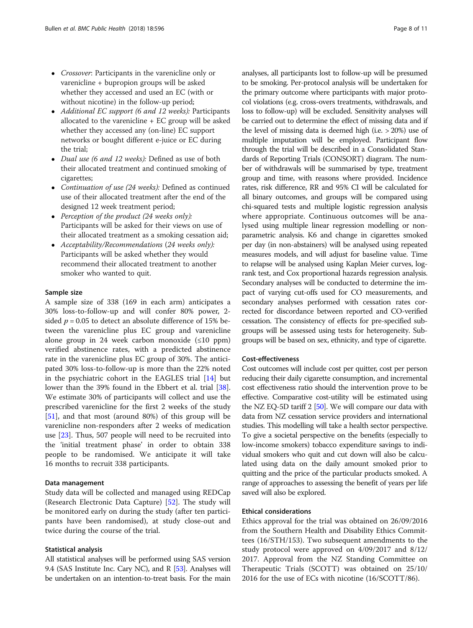- Crossover: Participants in the varenicline only or varenicline + bupropion groups will be asked whether they accessed and used an EC (with or without nicotine) in the follow-up period;
- Additional EC support (6 and 12 weeks): Participants allocated to the varenicline  $+ EC$  group will be asked whether they accessed any (on-line) EC support networks or bought different e-juice or EC during the trial;
- Dual use (6 and 12 weeks): Defined as use of both their allocated treatment and continued smoking of cigarettes;
- Continuation of use (24 weeks): Defined as continued use of their allocated treatment after the end of the designed 12 week treatment period;
- Perception of the product (24 weeks only): Participants will be asked for their views on use of their allocated treatment as a smoking cessation aid;
- Acceptability/Recommendations (24 weeks only): Participants will be asked whether they would recommend their allocated treatment to another smoker who wanted to quit.

### Sample size

A sample size of 338 (169 in each arm) anticipates a 30% loss-to-follow-up and will confer 80% power, 2 sided  $p = 0.05$  to detect an absolute difference of 15% between the varenicline plus EC group and varenicline alone group in 24 week carbon monoxide  $(\leq 10$  ppm) verified abstinence rates, with a predicted abstinence rate in the varenicline plus EC group of 30%. The anticipated 30% loss-to-follow-up is more than the 22% noted in the psychiatric cohort in the EAGLES trial [[14](#page-9-0)] but lower than the 39% found in the Ebbert et al. trial [\[38](#page-10-0)]. We estimate 30% of participants will collect and use the prescribed varenicline for the first 2 weeks of the study [[51\]](#page-10-0), and that most (around 80%) of this group will be varenicline non-responders after 2 weeks of medication use [[23](#page-9-0)]. Thus, 507 people will need to be recruited into the 'initial treatment phase' in order to obtain 338 people to be randomised. We anticipate it will take 16 months to recruit 338 participants.

### Data management

Study data will be collected and managed using REDCap (Research Electronic Data Capture) [\[52](#page-10-0)]. The study will be monitored early on during the study (after ten participants have been randomised), at study close-out and twice during the course of the trial.

### Statistical analysis

All statistical analyses will be performed using SAS version 9.4 (SAS Institute Inc. Cary NC), and R  $[53]$ . Analyses will be undertaken on an intention-to-treat basis. For the main analyses, all participants lost to follow-up will be presumed to be smoking. Per-protocol analysis will be undertaken for the primary outcome where participants with major protocol violations (e.g. cross-overs treatments, withdrawals, and loss to follow-up) will be excluded. Sensitivity analyses will be carried out to determine the effect of missing data and if the level of missing data is deemed high (i.e. > 20%) use of multiple imputation will be employed. Participant flow through the trial will be described in a Consolidated Standards of Reporting Trials (CONSORT) diagram. The number of withdrawals will be summarised by type, treatment group and time, with reasons where provided. Incidence rates, risk difference, RR and 95% CI will be calculated for all binary outcomes, and groups will be compared using chi-squared tests and multiple logistic regression analysis where appropriate. Continuous outcomes will be analysed using multiple linear regression modelling or nonparametric analysis. K6 and change in cigarettes smoked per day (in non-abstainers) will be analysed using repeated measures models, and will adjust for baseline value. Time to relapse will be analysed using Kaplan Meier curves, logrank test, and Cox proportional hazards regression analysis. Secondary analyses will be conducted to determine the impact of varying cut-offs used for CO measurements, and secondary analyses performed with cessation rates corrected for discordance between reported and CO-verified cessation. The consistency of effects for pre-specified subgroups will be assessed using tests for heterogeneity. Subgroups will be based on sex, ethnicity, and type of cigarette.

## Cost-effectiveness

Cost outcomes will include cost per quitter, cost per person reducing their daily cigarette consumption, and incremental cost effectiveness ratio should the intervention prove to be effective. Comparative cost-utility will be estimated using the NZ EQ-5D tariff  $2$  [\[50\]](#page-10-0). We will compare our data with data from NZ cessation service providers and international studies. This modelling will take a health sector perspective. To give a societal perspective on the benefits (especially to low-income smokers) tobacco expenditure savings to individual smokers who quit and cut down will also be calculated using data on the daily amount smoked prior to quitting and the price of the particular products smoked. A range of approaches to assessing the benefit of years per life saved will also be explored.

## Ethical considerations

Ethics approval for the trial was obtained on 26/09/2016 from the Southern Health and Disability Ethics Committees (16/STH/153). Two subsequent amendments to the study protocol were approved on 4/09/2017 and 8/12/ 2017. Approval from the NZ Standing Committee on Therapeutic Trials (SCOTT) was obtained on 25/10/ 2016 for the use of ECs with nicotine (16/SCOTT/86).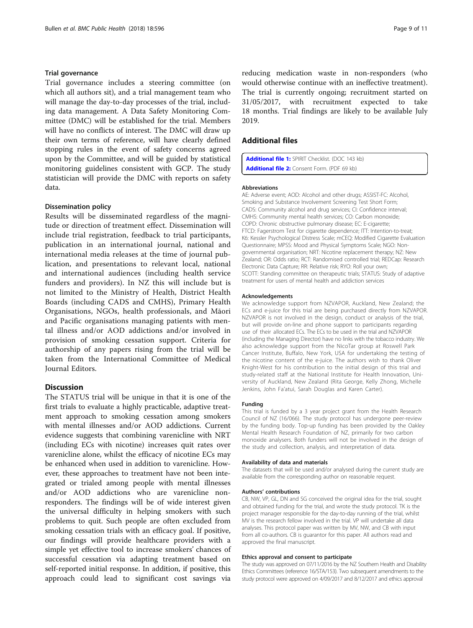## <span id="page-8-0"></span>Trial governance

Trial governance includes a steering committee (on which all authors sit), and a trial management team who will manage the day-to-day processes of the trial, including data management. A Data Safety Monitoring Committee (DMC) will be established for the trial. Members will have no conflicts of interest. The DMC will draw up their own terms of reference, will have clearly defined stopping rules in the event of safety concerns agreed upon by the Committee, and will be guided by statistical monitoring guidelines consistent with GCP. The study statistician will provide the DMC with reports on safety data.

### Dissemination policy

Results will be disseminated regardless of the magnitude or direction of treatment effect. Dissemination will include trial registration, feedback to trial participants, publication in an international journal, national and international media releases at the time of journal publication, and presentations to relevant local, national and international audiences (including health service funders and providers). In NZ this will include but is not limited to the Ministry of Health, District Health Boards (including CADS and CMHS), Primary Health Organisations, NGOs, health professionals, and Māori and Pacific organisations managing patients with mental illness and/or AOD addictions and/or involved in provision of smoking cessation support. Criteria for authorship of any papers rising from the trial will be taken from the International Committee of Medical Journal Editors.

## Discussion

The STATUS trial will be unique in that it is one of the first trials to evaluate a highly practicable, adaptive treatment approach to smoking cessation among smokers with mental illnesses and/or AOD addictions. Current evidence suggests that combining varenicline with NRT (including ECs with nicotine) increases quit rates over varenicline alone, whilst the efficacy of nicotine ECs may be enhanced when used in addition to varenicline. However, these approaches to treatment have not been integrated or trialed among people with mental illnesses and/or AOD addictions who are varenicline nonresponders. The findings will be of wide interest given the universal difficulty in helping smokers with such problems to quit. Such people are often excluded from smoking cessation trials with an efficacy goal. If positive, our findings will provide healthcare providers with a simple yet effective tool to increase smokers' chances of successful cessation via adapting treatment based on self-reported initial response. In addition, if positive, this approach could lead to significant cost savings via

reducing medication waste in non-responders (who would otherwise continue with an ineffective treatment). The trial is currently ongoing; recruitment started on 31/05/2017, with recruitment expected to take 18 months. Trial findings are likely to be available July 2019.

## Additional files

[Additional file 1:](https://doi.org/10.1186/s12889-018-5351-7) SPIRIT Checklist. (DOC 143 kb) [Additional file 2:](https://doi.org/10.1186/s12889-018-5351-7) Consent Form. (PDF 69 kb)

#### Abbreviations

AE: Adverse event; AOD: Alcohol and other drugs; ASSIST-FC: Alcohol, Smoking and Substance Involvement Screening Test Short Form; CADS: Community alcohol and drug services; CI: Confidence interval; CMHS: Community mental health services; CO: Carbon monoxide; COPD: Chronic obstructive pulmonary disease; EC: E-cigarette; FTCD: Fagerstrom Test for cigarette dependence; ITT: Intention-to-treat; K6: Kessler Psychological Distress Scale; mCEQ: Modified Cigarette Evaluation Questionnaire; MPSS: Mood and Physical Symptoms Scale; NGO: Nongovernmental organisation; NRT: Nicotine replacement therapy; NZ: New Zealand; OR: Odds ratio; RCT: Randomised controlled trial; REDCap: Research Electronic Data Capture; RR: Relative risk; RYO: Roll your own; SCOTT: Standing committee on therapeutic trials; STATUS: Study of adaptive treatment for users of mental health and addiction services

#### Acknowledgements

We acknowledge support from NZVAPOR, Auckland, New Zealand; the ECs and e-juice for this trial are being purchased directly from NZVAPOR. NZVAPOR is not involved in the design, conduct or analysis of the trial, but will provide on-line and phone support to participants regarding use of their allocated ECs. The ECs to be used in the trial and NZVAPOR (including the Managing Director) have no links with the tobacco industry. We also acknowledge support from the NicoTar group at Roswell Park Cancer Institute, Buffalo, New York, USA for undertaking the testing of the nicotine content of the e-juice. The authors wish to thank Oliver Knight-West for his contribution to the initial design of this trial and study-related staff at the National Institute for Health Innovation, University of Auckland, New Zealand (Rita George, Kelly Zhong, Michelle Jenkins, John Fa'atui, Sarah Douglas and Karen Carter).

#### Funding

This trial is funded by a 3 year project grant from the Health Research Council of NZ (16/066). The study protocol has undergone peer-review by the funding body. Top-up funding has been provided by the Oakley Mental Health Research Foundation of NZ, primarily for two carbon monoxide analysers. Both funders will not be involved in the design of the study and collection, analysis, and interpretation of data.

## Availability of data and materials

The datasets that will be used and/or analysed during the current study are available from the corresponding author on reasonable request.

#### Authors' contributions

CB, NW, VP, GL, DN and SG conceived the original idea for the trial, sought and obtained funding for the trial, and wrote the study protocol. TK is the project manager responsible for the day-to-day running of the trial, whilst MV is the research fellow involved in the trial. VP will undertake all data analyses. This protocol paper was written by MV, NW, and CB with input from all co-authors. CB is guarantor for this paper. All authors read and approved the final manuscript.

#### Ethics approval and consent to participate

The study was approved on 07/11/2016 by the NZ Southern Health and Disability Ethics Committees (reference 16/STA/153). Two subsequent amendments to the study protocol were approved on 4/09/2017 and 8/12/2017 and ethics approval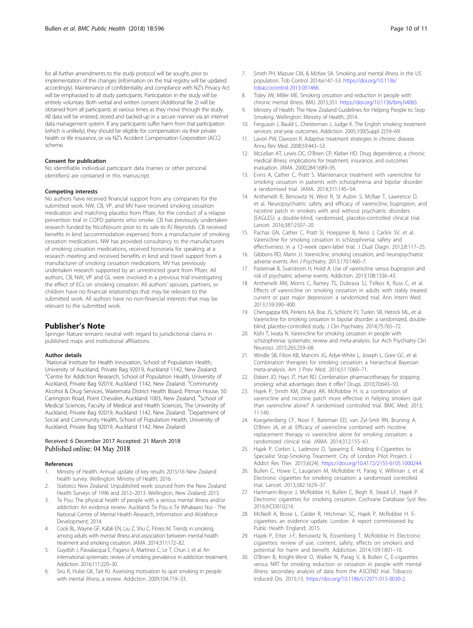<span id="page-9-0"></span>for all further amendments to the study protocol will be sought, prior to implementation of the changes (information on the trial registry will be updated accordingly). Maintenance of confidentiality and compliance with NZ's Privacy Act will be emphasised to all study participants. Participation in the study will be entirely voluntary. Both verbal and written consent (Additional file [2](#page-8-0)) will be obtained from all participants at various times as they move through the study. All data will be entered, stored and backed-up in a secure manner via an internet data management system. If any participants suffer harm from trial participation (which is unlikely), they should be eligible for compensation via their private health or life insurance, or via NZ's Accident Compensation Corporation (ACC) scheme.

#### Consent for publication

No identifiable individual participant data (names or other personal identifiers) are contained in this manuscript.

#### Competing interests

No authors have received financial support from any companies for the submitted work. NW, CB, VP, and MV have received smoking cessation medication and matching placebo from Pfizer, for the conduct of a relapse prevention trial in COPD patients who smoke. CB has previously undertaken research funded by NicoNovum prior to its sale to RJ Reynolds. CB received benefits in kind (accommodation expenses) from a manufacturer of smoking cessation medications. NW has provided consultancy to the manufacturers of smoking cessation medications, received honoraria for speaking at a research meeting and received benefits in kind and travel support from a manufacturer of smoking cessation medications. MV has previously undertaken research supported by an unrestricted grant from Pfizer. All authors, CB, NW, VP and GL were involved in a previous trial investigating the effect of ECs on smoking cessation. All authors' spouses, partners, or children have no financial relationships that may be relevant to the submitted work. All authors have no non-financial interests that may be relevant to the submitted work.

### Publisher's Note

Springer Nature remains neutral with regard to jurisdictional claims in published maps and institutional affiliations.

#### Author details

<sup>1</sup>National Institute for Health Innovation, School of Population Health, University of Auckland, Private Bag 92019, Auckland 1142, New Zealand. <sup>2</sup> Centre for Addiction Research, School of Population Health, University of Auckland, Private Bag 92019, Auckland 1142, New Zealand. <sup>3</sup>Community Alcohol & Drug Services, Waitemata District Health Board, Pitman House, 50 Carrington Road, Point Chevalier, Auckland 1003, New Zealand. <sup>4</sup>School of Medical Sciences, Faculty of Medical and Health Sciences, The University of Auckland, Private Bag 92019, Auckland 1142, New Zealand. <sup>5</sup>Department of Social and Community Health, School of Population Health, University of Auckland, Private Bag 92019, Auckland 1142, New Zealand.

## Received: 6 December 2017 Accepted: 21 March 2018 Published online: 04 May 2018

#### References

- 1. Ministry of Health. Annual update of key results 2015/16 New Zealand health survey. Wellington: Ministry of Health; 2016.
- 2. Statistics New Zealand. Unpublished work: sourced from the New Zealand Health Surveys of 1996 and 2012–2013. Wellington, New Zealand; 2015.
- Te Pou. The physical health of people with a serious mental illness and/or addiction: An evidence review. Auckland: Te Pou o Te Whakaaro Nui - The National Centre of Mental Health Research, Information and Workforce Development; 2014.
- 4. Cook BL, Wayne GF, Kafali EN, Liu Z, Shu C, Flores M. Trends in smoking among adults with mental illness and association between mental health treatment and smoking cessation. JAMA. 2014;311:172–82.
- 5. Guydish J, Passalacqua E, Pagano A, Martinez C, Le T, Chun J, et al. An international systematic review of smoking prevalence in addiction treatment. Addiction. 2016;111:220–30.
- 6. Siru R, Hulse GK, Tait RJ. Assessing motivation to quit smoking in people with mental illness: a review. Addiction. 2009;104:719–33.
- 7. Smith PH, Mazure CM, & McKee SA. Smoking and mental illness in the US population. Tob Control 2014;e147–53: [https://doi.org/10.1136/](https://doi.org/10.1136/tobaccocontrol-2013-051466) [tobaccocontrol-2013-051466](https://doi.org/10.1136/tobaccocontrol-2013-051466).
- 8. Tidey JW, Miller ME. Smoking cessation and reduction in people with chronic mental illness. BMJ. 2015;351. <https://doi.org/10.1136/bmj.h4065>.
- 9. Ministry of Health. The New Zealand Guidelines for Helping People to Stop Smoking. Wellington: Ministry of Health; 2014.
- 10. Ferguson J, Bauld L, Chesterman J, Judge K. The English smoking treatment services: one-year outcomes. Addiction. 2005;100(Suppl 2):59–69.
- 11. Lavori PW, Dawson R. Adaptive treatment strategies in chronic disease. Annu Rev Med. 2008;59:443–53.
- 12. McLellan AT, Lewis DC, O'Brien CP, Kleber HD. Drug dependence, a chronic medical illness: implications for treatment, insurance, and outcomes evaluation. JAMA. 2000;284:1689–95.
- 13. Evins A, Cather C, Pratt S. Maintenance treatment with varenicline for smoking cessation in patients with schizophrenia and bipolar disorder: a randomised trial. JAMA. 2014;311:145–54.
- 14. Anthenelli R, Benowitz N, West R, St Aubin S, McRae T, Lawrence D, et al. Neuropsychiatric safety and efficacy of varenicline, bupropion, and nicotine patch in smokers with and without psychiatric disorders (EAGLES): a double-blind, randomised, placebo-controlled clinical trial. Lancet. 2016;387:2507–20.
- 15. Pachas GN, Cather C, Pratt SI, Hoeppner B, Nino J, Carlini SV, et al. Varenicline for smoking cessation in schizophrenia: safety and effectiveness in a 12-week open-label trial. J Dual Diagn. 2012;8:117–25.
- 16. Gibbons RD, Mann JJ. Varenicline, smoking cessation, and neuropsychiatric adverse events. Am J Psychiatry. 2013;170:1460–7.
- 17. Pasternak B, Svanstrom H, Hviid A. Use of varenicline versus bupropion and risk of psychiatric adverse events. Addiction. 2013;108:1336–43.
- 18. Anthenelli RM, Morris C, Ramey TS, Dubrava SJ, Tsilkos K, Russ C, et al. Effects of varenicline on smoking cessation in adults with stably treated current or past major depression: a randomized trial. Ann Intern Med. 2013;159:390–400.
- 19. Chengappa KN, Perkins KA, Brar JS, Schlicht PJ, Turkin SR, Hetrick ML, et al. Varenicline for smoking cessation in bipolar disorder: a randomized, doubleblind, placebo-controlled study. J Clin Psychiatry. 2014;75:765–72.
- 20. Kishi T, Iwata N. Varenicline for smoking cessation in people with schizophrenia: systematic review and meta-analysis. Eur Arch Psychiatry Clin Neurosci. 2015;265:259–68.
- 21. Windle SB, Filion KB, Mancini JG, Adye-White L, Joseph L, Gore GC, et al. Combination therapies for smoking cessation: a hierarchical Bayesian meta-analysis. Am J Prev Med. 2016;51:1060–71.
- 22. Ebbert JO, Hays JT, Hurt RD. Combination pharmacotherapy for stopping smoking: what advantages does it offer? Drugs. 2010;70:643–50.
- 23. Hajek P, Smith KM, Dhanji AR, McRobbie H. Is a combination of varenicline and nicotine patch more effective in helping smokers quit than varenicline alone? A randomised controlled trial. BMC Med. 2013; 11:140.
- 24. Koegelenberg CF, Noor F, Bateman ED, van Zyl-Smit RN, Bruning A, O'Brien JA, et al. Efficacy of varenicline combined with nicotine replacement therapy vs varenicline alone for smoking cessation: a randomized clinical trial. JAMA. 2014;312:155–61.
- 25. Hajek P, Corbin L, Ladmore D, Spearing E. Adding E-Cigarettes to Specialist Stop-Smoking Treatment: City of London Pilot Project. J Addict Res Ther. 2015;6(24). [https://doi.org/10.4172/2155-6105.1000244.](https://doi.org/10.4172/2155-6105.1000244)
- 26. Bullen C, Howe C, Laugesen M, McRobbie H, Parag V, Williman J, et al. Electronic cigarettes for smoking cessation: a randomised controlled trial. Lancet. 2013;382:1629–37.
- 27. Hartmann-Boyce J, McRobbie H, Bullen C, Begh R, Stead LF, Hajek P. Electronic cigarettes for smoking cessation. Cochrane Database Syst Rev. 2016;9:CD010216.
- 28. McNeill A, Brose L, Calder R, Hitchman SC, Hajek P, McRobbie H. Ecigarettes: an evidence update. London: A report commisioned by Pubic Health England; 2015.
- 29. Hajek P, Etter J-F, Benowitz N, Eissenberg T, McRobbie H. Electronic cigarettes: review of use, content, safety, effects on smokers and potential for harm and benefit. Addiction. 2014;109:1801–10.
- 30. O'Brien B, Knight-West O, Walker N, Parag V, & Bullen C, E-cigarettes versus NRT for smoking reduction or cessation in people with mental illness: secondary analysis of data from the ASCEND trial. Tobacco Induced Dis. 2015;13. <https://doi.org/10.1186/s12971-015-0030-2>.